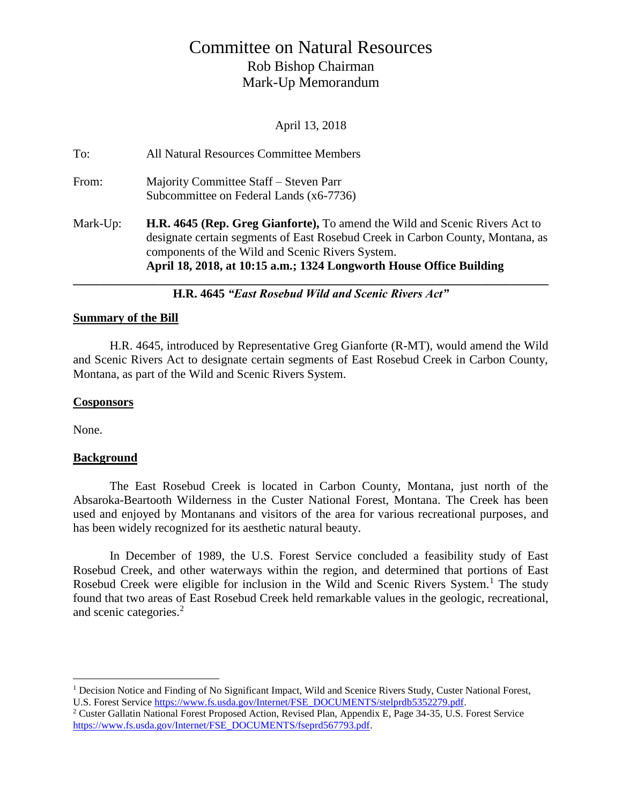# Committee on Natural Resources Rob Bishop Chairman Mark-Up Memorandum

April 13, 2018

| To:      | All Natural Resources Committee Members                                                                                                                                                                                                                                                         |
|----------|-------------------------------------------------------------------------------------------------------------------------------------------------------------------------------------------------------------------------------------------------------------------------------------------------|
| From:    | Majority Committee Staff – Steven Parr<br>Subcommittee on Federal Lands (x6-7736)                                                                                                                                                                                                               |
| Mark-Up: | <b>H.R. 4645 (Rep. Greg Gianforte),</b> To amend the Wild and Scenic Rivers Act to<br>designate certain segments of East Rosebud Creek in Carbon County, Montana, as<br>components of the Wild and Scenic Rivers System.<br>April 18, 2018, at 10:15 a.m.; 1324 Longworth House Office Building |

**H.R. 4645** *"East Rosebud Wild and Scenic Rivers Act"*

## **Summary of the Bill**

H.R. 4645, introduced by Representative Greg Gianforte (R-MT), would amend the Wild and Scenic Rivers Act to designate certain segments of East Rosebud Creek in Carbon County, Montana, as part of the Wild and Scenic Rivers System.

## **Cosponsors**

None.

 $\overline{a}$ 

#### **Background**

The East Rosebud Creek is located in Carbon County, Montana, just north of the Absaroka-Beartooth Wilderness in the Custer National Forest, Montana. The Creek has been used and enjoyed by Montanans and visitors of the area for various recreational purposes, and has been widely recognized for its aesthetic natural beauty.

In December of 1989, the U.S. Forest Service concluded a feasibility study of East Rosebud Creek, and other waterways within the region, and determined that portions of East Rosebud Creek were eligible for inclusion in the Wild and Scenic Rivers System.<sup>1</sup> The study found that two areas of East Rosebud Creek held remarkable values in the geologic, recreational, and scenic categories.<sup>2</sup>

<sup>&</sup>lt;sup>1</sup> Decision Notice and Finding of No Significant Impact, Wild and Scenice Rivers Study, Custer National Forest, U.S. Forest Service [https://www.fs.usda.gov/Internet/FSE\\_DOCUMENTS/stelprdb5352279.pdf.](https://www.fs.usda.gov/Internet/FSE_DOCUMENTS/stelprdb5352279.pdf)

<sup>2</sup> Custer Gallatin National Forest Proposed Action, Revised Plan, Appendix E, Page 34-35, U.S. Forest Service [https://www.fs.usda.gov/Internet/FSE\\_DOCUMENTS/fseprd567793.pdf.](https://www.fs.usda.gov/Internet/FSE_DOCUMENTS/fseprd567793.pdf)